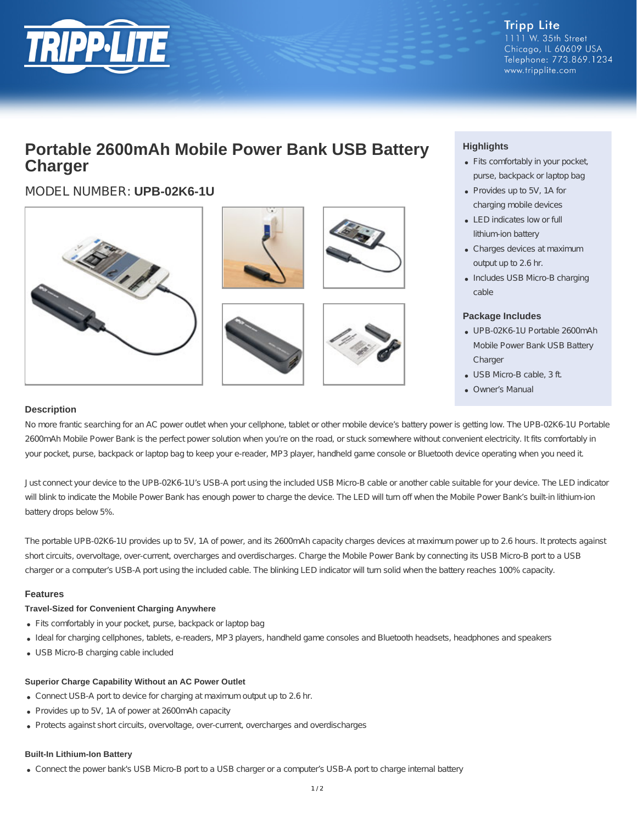

# **Portable 2600mAh Mobile Power Bank USB Battery Charger**

## MODEL NUMBER: **UPB-02K6-1U**



### **Highlights**

- Fits comfortably in your pocket, purse, backpack or laptop bag
- Provides up to 5V, 1A for charging mobile devices
- LED indicates low or full lithium-ion battery
- Charges devices at maximum output up to 2.6 hr.
- Includes USB Micro-B charging cable

#### **Package Includes**

- UPB-02K6-1U Portable 2600mAh Mobile Power Bank USB Battery **Charger**
- USB Micro-B cable, 3 ft.
- Owner's Manual

#### **Description**

No more frantic searching for an AC power outlet when your cellphone, tablet or other mobile device's battery power is getting low. The UPB-02K6-1U Portable 2600mAh Mobile Power Bank is the perfect power solution when you're on the road, or stuck somewhere without convenient electricity. It fits comfortably in your pocket, purse, backpack or laptop bag to keep your e-reader, MP3 player, handheld game console or Bluetooth device operating when you need it.

Just connect your device to the UPB-02K6-1U's USB-A port using the included USB Micro-B cable or another cable suitable for your device. The LED indicator will blink to indicate the Mobile Power Bank has enough power to charge the device. The LED will turn off when the Mobile Power Bank's built-in lithium-ion battery drops below 5%.

The portable UPB-02K6-1U provides up to 5V, 1A of power, and its 2600mAh capacity charges devices at maximum power up to 2.6 hours. It protects against short circuits, overvoltage, over-current, overcharges and overdischarges. Charge the Mobile Power Bank by connecting its USB Micro-B port to a USB charger or a computer's USB-A port using the included cable. The blinking LED indicator will turn solid when the battery reaches 100% capacity.

#### **Features**

#### **Travel-Sized for Convenient Charging Anywhere**

- Fits comfortably in your pocket, purse, backpack or laptop bag
- Ideal for charging cellphones, tablets, e-readers, MP3 players, handheld game consoles and Bluetooth headsets, headphones and speakers
- USB Micro-B charging cable included

#### **Superior Charge Capability Without an AC Power Outlet**

- Connect USB-A port to device for charging at maximum output up to 2.6 hr.
- Provides up to 5V, 1A of power at 2600mAh capacity
- Protects against short circuits, overvoltage, over-current, overcharges and overdischarges

#### **Built-In Lithium-Ion Battery**

Connect the power bank's USB Micro-B port to a USB charger or a computer's USB-A port to charge internal battery